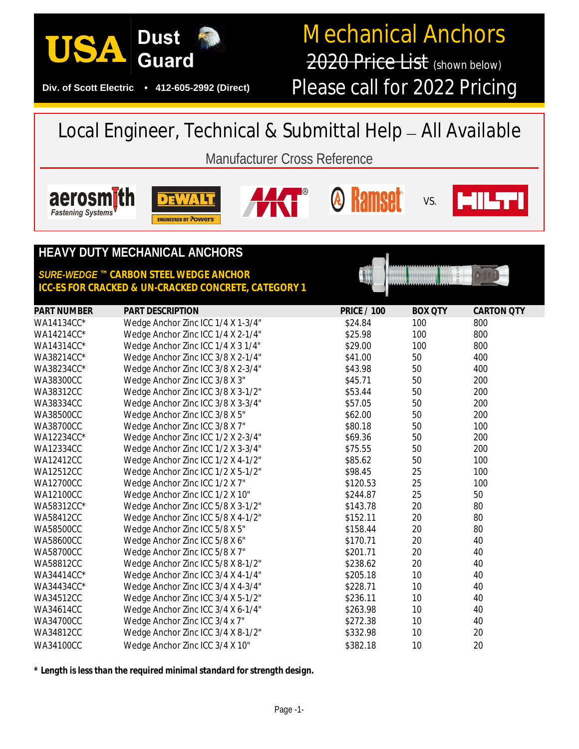

#### **Div. of Scott Electric • 412-605-2992 (Direct)**

# Mechanical Anchors 2020 Price List (shown below)

Please call for 2022 Pricing

## Local Engineer, Technical & Submittal Help — *All Available*

## Manufacturer Cross Reference











### **HEAVY DUTY MECHANICAL ANCHORS**

#### *SURE-WEDGE* **™** *CARBON STEEL WEDGE ANCHOR ICC-ES FOR CRACKED & UN-CRACKED CONCRETE, CATEGORY 1*

| <b>PART NUMBER</b> | <b>PART DESCRIPTION</b>            | <b>PRICE / 100</b> | <b>BOX QTY</b> | <b>CARTON QTY</b> |
|--------------------|------------------------------------|--------------------|----------------|-------------------|
| WA14134CC*         | Wedge Anchor Zinc ICC 1/4 X 1-3/4" | \$24.84            | 100            | 800               |
| WA14214CC*         | Wedge Anchor Zinc ICC 1/4 X 2-1/4" | \$25.98            | 100            | 800               |
| WA14314CC*         | Wedge Anchor Zinc ICC 1/4 X 3 1/4" | \$29.00            | 100            | 800               |
| WA38214CC*         | Wedge Anchor Zinc ICC 3/8 X 2-1/4" | \$41.00            | 50             | 400               |
| WA38234CC*         | Wedge Anchor Zinc ICC 3/8 X 2-3/4" | \$43.98            | 50             | 400               |
| WA38300CC          | Wedge Anchor Zinc ICC 3/8 X 3"     | \$45.71            | 50             | 200               |
| <b>WA38312CC</b>   | Wedge Anchor Zinc ICC 3/8 X 3-1/2" | \$53.44            | 50             | 200               |
| <b>WA38334CC</b>   | Wedge Anchor Zinc ICC 3/8 X 3-3/4" | \$57.05            | 50             | 200               |
| <b>WA38500CC</b>   | Wedge Anchor Zinc ICC 3/8 X 5"     | \$62.00            | 50             | 200               |
| WA38700CC          | Wedge Anchor Zinc ICC 3/8 X 7"     | \$80.18            | 50             | 100               |
| WA12234CC*         | Wedge Anchor Zinc ICC 1/2 X 2-3/4" | \$69.36            | 50             | 200               |
| <b>WA12334CC</b>   | Wedge Anchor Zinc ICC 1/2 X 3-3/4" | \$75.55            | 50             | 200               |
| <b>WA12412CC</b>   | Wedge Anchor Zinc ICC 1/2 X 4-1/2" | \$85.62            | 50             | 100               |
| <b>WA12512CC</b>   | Wedge Anchor Zinc ICC 1/2 X 5-1/2" | \$98.45            | 25             | 100               |
| <b>WA12700CC</b>   | Wedge Anchor Zinc ICC 1/2 X 7"     | \$120.53           | 25             | 100               |
| <b>WA12100CC</b>   | Wedge Anchor Zinc ICC 1/2 X 10"    | \$244.87           | 25             | 50                |
| WA58312CC*         | Wedge Anchor Zinc ICC 5/8 X 3-1/2" | \$143.78           | 20             | 80                |
| <b>WA58412CC</b>   | Wedge Anchor Zinc ICC 5/8 X 4-1/2" | \$152.11           | 20             | 80                |
| <b>WA58500CC</b>   | Wedge Anchor Zinc ICC 5/8 X 5"     | \$158.44           | 20             | 80                |
| <b>WA58600CC</b>   | Wedge Anchor Zinc ICC 5/8 X 6"     | \$170.71           | 20             | 40                |
| WA58700CC          | Wedge Anchor Zinc ICC 5/8 X 7"     | \$201.71           | 20             | 40                |
| <b>WA58812CC</b>   | Wedge Anchor Zinc ICC 5/8 X 8-1/2" | \$238.62           | 20             | 40                |
| WA34414CC*         | Wedge Anchor Zinc ICC 3/4 X 4-1/4" | \$205.18           | 10             | 40                |
| WA34434CC*         | Wedge Anchor Zinc ICC 3/4 X 4-3/4" | \$228.71           | 10             | 40                |
| <b>WA34512CC</b>   | Wedge Anchor Zinc ICC 3/4 X 5-1/2" | \$236.11           | 10             | 40                |
| WA34614CC          | Wedge Anchor Zinc ICC 3/4 X 6-1/4" | \$263.98           | 10             | 40                |
| <b>WA34700CC</b>   | Wedge Anchor Zinc ICC 3/4 x 7"     | \$272.38           | 10             | 40                |
| <b>WA34812CC</b>   | Wedge Anchor Zinc ICC 3/4 X 8-1/2" | \$332.98           | 10             | 20                |
| <b>WA34100CC</b>   | Wedge Anchor Zinc ICC 3/4 X 10"    | \$382.18           | 10             | 20                |

*\* Length is less than the required minimal standard for strength design.*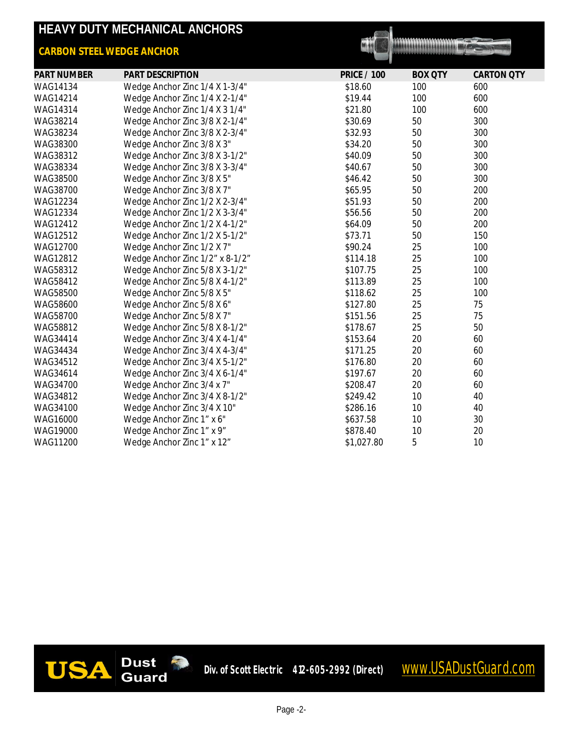| HEAVY DUTY MECHANICAL ANCHORS    |                                 |                    |                |                   |  |  |
|----------------------------------|---------------------------------|--------------------|----------------|-------------------|--|--|
| <b>CARBON STEEL WEDGE ANCHOR</b> |                                 |                    |                |                   |  |  |
| <b>PART NUMBER</b>               | PART DESCRIPTION                | <b>PRICE / 100</b> | <b>BOX QTY</b> | <b>CARTON QTY</b> |  |  |
| WAG14134                         | Wedge Anchor Zinc 1/4 X 1-3/4"  | \$18.60            | 100            | 600               |  |  |
| WAG14214                         | Wedge Anchor Zinc 1/4 X 2-1/4"  | \$19.44            | 100            | 600               |  |  |
| WAG14314                         | Wedge Anchor Zinc 1/4 X 3 1/4"  | \$21.80            | 100            | 600               |  |  |
| WAG38214                         | Wedge Anchor Zinc 3/8 X 2-1/4"  | \$30.69            | 50             | 300               |  |  |
| WAG38234                         | Wedge Anchor Zinc 3/8 X 2-3/4"  | \$32.93            | 50             | 300               |  |  |
| WAG38300                         | Wedge Anchor Zinc 3/8 X 3"      | \$34.20            | 50             | 300               |  |  |
| WAG38312                         | Wedge Anchor Zinc 3/8 X 3-1/2"  | \$40.09            | 50             | 300               |  |  |
| WAG38334                         | Wedge Anchor Zinc 3/8 X 3-3/4"  | \$40.67            | 50             | 300               |  |  |
| WAG38500                         | Wedge Anchor Zinc 3/8 X 5"      | \$46.42            | 50             | 300               |  |  |
| WAG38700                         | Wedge Anchor Zinc 3/8 X 7"      | \$65.95            | 50             | 200               |  |  |
| WAG12234                         | Wedge Anchor Zinc 1/2 X 2-3/4"  | \$51.93            | 50             | 200               |  |  |
| WAG12334                         | Wedge Anchor Zinc 1/2 X 3-3/4"  | \$56.56            | 50             | 200               |  |  |
| WAG12412                         | Wedge Anchor Zinc 1/2 X 4-1/2"  | \$64.09            | 50             | 200               |  |  |
| WAG12512                         | Wedge Anchor Zinc 1/2 X 5-1/2"  | \$73.71            | 50             | 150               |  |  |
| WAG12700                         | Wedge Anchor Zinc 1/2 X 7"      | \$90.24            | 25             | 100               |  |  |
| WAG12812                         | Wedge Anchor Zinc 1/2" x 8-1/2" | \$114.18           | 25             | 100               |  |  |
| WAG58312                         | Wedge Anchor Zinc 5/8 X 3-1/2"  | \$107.75           | 25             | 100               |  |  |
| WAG58412                         | Wedge Anchor Zinc 5/8 X 4-1/2"  | \$113.89           | 25             | 100               |  |  |
| WAG58500                         | Wedge Anchor Zinc 5/8 X 5"      | \$118.62           | 25             | 100               |  |  |
| WAG58600                         | Wedge Anchor Zinc 5/8 X 6"      | \$127.80           | 25             | 75                |  |  |
| WAG58700                         | Wedge Anchor Zinc 5/8 X 7"      | \$151.56           | 25             | 75                |  |  |
| WAG58812                         | Wedge Anchor Zinc 5/8 X 8-1/2"  | \$178.67           | 25             | 50                |  |  |
| WAG34414                         | Wedge Anchor Zinc 3/4 X 4-1/4"  | \$153.64           | 20             | 60                |  |  |
| WAG34434                         | Wedge Anchor Zinc 3/4 X 4-3/4"  | \$171.25           | 20             | 60                |  |  |
| WAG34512                         | Wedge Anchor Zinc 3/4 X 5-1/2"  | \$176.80           | 20             | 60                |  |  |
| WAG34614                         | Wedge Anchor Zinc 3/4 X 6-1/4"  | \$197.67           | 20             | 60                |  |  |
| WAG34700                         | Wedge Anchor Zinc 3/4 x 7"      | \$208.47           | 20             | 60                |  |  |
| WAG34812                         | Wedge Anchor Zinc 3/4 X 8-1/2"  | \$249.42           | 10             | 40                |  |  |
| WAG34100                         | Wedge Anchor Zinc 3/4 X 10"     | \$286.16           | 10             | 40                |  |  |
| WAG16000                         | Wedge Anchor Zinc 1" x 6"       | \$637.58           | 10             | 30                |  |  |
| WAG19000                         | Wedge Anchor Zinc 1" x 9"       | \$878.40           | 10             | 20                |  |  |
| WAG11200                         | Wedge Anchor Zinc 1" x 12"      | \$1,027.80         | 5              | 10                |  |  |

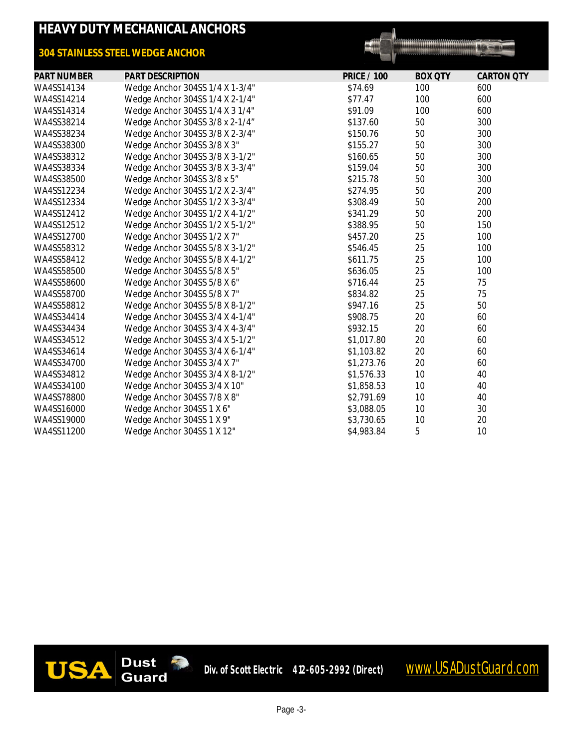## **HEAVY DUTY MECHANICAL ANCHORS**

#### *304 STAINLESS STEEL WEDGE ANCHOR*

 $= 100$ 

| <b>PART NUMBER</b> | <b>PART DESCRIPTION</b>         | <b>PRICE / 100</b> | <b>BOX QTY</b> | <b>CARTON QTY</b> |
|--------------------|---------------------------------|--------------------|----------------|-------------------|
| WA4SS14134         | Wedge Anchor 304SS 1/4 X 1-3/4" | \$74.69            | 100            | 600               |
| WA4SS14214         | Wedge Anchor 304SS 1/4 X 2-1/4" | \$77.47            | 100            | 600               |
| WA4SS14314         | Wedge Anchor 304SS 1/4 X 3 1/4" | \$91.09            | 100            | 600               |
| WA4SS38214         | Wedge Anchor 304SS 3/8 x 2-1/4" | \$137.60           | 50             | 300               |
| WA4SS38234         | Wedge Anchor 304SS 3/8 X 2-3/4" | \$150.76           | 50             | 300               |
| WA4SS38300         | Wedge Anchor 304SS 3/8 X 3"     | \$155.27           | 50             | 300               |
| WA4SS38312         | Wedge Anchor 304SS 3/8 X 3-1/2" | \$160.65           | 50             | 300               |
| WA4SS38334         | Wedge Anchor 304SS 3/8 X 3-3/4" | \$159.04           | 50             | 300               |
| WA4SS38500         | Wedge Anchor 304SS 3/8 x 5"     | \$215.78           | 50             | 300               |
| WA4SS12234         | Wedge Anchor 304SS 1/2 X 2-3/4" | \$274.95           | 50             | 200               |
| WA4SS12334         | Wedge Anchor 304SS 1/2 X 3-3/4" | \$308.49           | 50             | 200               |
| WA4SS12412         | Wedge Anchor 304SS 1/2 X 4-1/2" | \$341.29           | 50             | 200               |
| WA4SS12512         | Wedge Anchor 304SS 1/2 X 5-1/2" | \$388.95           | 50             | 150               |
| WA4SS12700         | Wedge Anchor 304SS 1/2 X 7"     | \$457.20           | 25             | 100               |
| WA4SS58312         | Wedge Anchor 304SS 5/8 X 3-1/2" | \$546.45           | 25             | 100               |
| WA4SS58412         | Wedge Anchor 304SS 5/8 X 4-1/2" | \$611.75           | 25             | 100               |
| WA4SS58500         | Wedge Anchor 304SS 5/8 X 5"     | \$636.05           | 25             | 100               |
| WA4SS58600         | Wedge Anchor 304SS 5/8 X 6"     | \$716.44           | 25             | 75                |
| WA4SS58700         | Wedge Anchor 304SS 5/8 X 7"     | \$834.82           | 25             | 75                |
| WA4SS58812         | Wedge Anchor 304SS 5/8 X 8-1/2" | \$947.16           | 25             | 50                |
| WA4SS34414         | Wedge Anchor 304SS 3/4 X 4-1/4" | \$908.75           | 20             | 60                |
| WA4SS34434         | Wedge Anchor 304SS 3/4 X 4-3/4" | \$932.15           | 20             | 60                |
| WA4SS34512         | Wedge Anchor 304SS 3/4 X 5-1/2" | \$1,017.80         | 20             | 60                |
| WA4SS34614         | Wedge Anchor 304SS 3/4 X 6-1/4" | \$1,103.82         | 20             | 60                |
| WA4SS34700         | Wedge Anchor 304SS 3/4 X 7"     | \$1,273.76         | 20             | 60                |
| WA4SS34812         | Wedge Anchor 304SS 3/4 X 8-1/2" | \$1,576.33         | 10             | 40                |
| WA4SS34100         | Wedge Anchor 304SS 3/4 X 10"    | \$1,858.53         | 10             | 40                |
| WA4SS78800         | Wedge Anchor 304SS 7/8 X 8"     | \$2,791.69         | 10             | 40                |
| WA4SS16000         | Wedge Anchor 304SS 1 X 6"       | \$3,088.05         | 10             | 30                |
| WA4SS19000         | Wedge Anchor 304SS 1 X 9"       | \$3,730.65         | 10             | 20                |
| WA4SS11200         | Wedge Anchor 304SS 1 X 12"      | \$4,983.84         | 5              | 10                |



Div. of Scott Electric 412-605-2992 (Direct) WWW.USADustGuard.com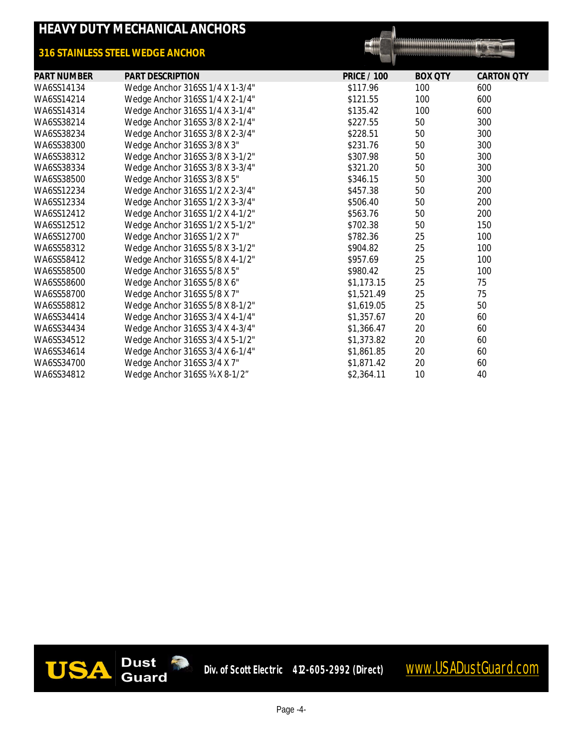|                    | <b>HEAVY DUTY MECHANICAL ANCHORS</b> |                    |                                      |                   |
|--------------------|--------------------------------------|--------------------|--------------------------------------|-------------------|
|                    | 316 STAINLESS STEEL WEDGE ANCHOR     |                    | ,,,,,,,,,,,,,,,,,,,,,,,,,,,,,,,,,,,, |                   |
| <b>PART NUMBER</b> | PART DESCRIPTION                     | <b>PRICE / 100</b> | <b>BOX QTY</b>                       | <b>CARTON QTY</b> |
| WA6SS14134         | Wedge Anchor 316SS 1/4 X 1-3/4"      | \$117.96           | 100                                  | 600               |
| WA6SS14214         | Wedge Anchor 316SS 1/4 X 2-1/4"      | \$121.55           | 100                                  | 600               |
| WA6SS14314         | Wedge Anchor 316SS 1/4 X 3-1/4"      | \$135.42           | 100                                  | 600               |
| WA6SS38214         | Wedge Anchor 316SS 3/8 X 2-1/4"      | \$227.55           | 50                                   | 300               |
| WA6SS38234         | Wedge Anchor 316SS 3/8 X 2-3/4"      | \$228.51           | 50                                   | 300               |
| WA6SS38300         | Wedge Anchor 316SS 3/8 X 3"          | \$231.76           | 50                                   | 300               |
| WA6SS38312         | Wedge Anchor 316SS 3/8 X 3-1/2"      | \$307.98           | 50                                   | 300               |
| WA6SS38334         | Wedge Anchor 316SS 3/8 X 3-3/4"      | \$321.20           | 50                                   | 300               |
| WA6SS38500         | Wedge Anchor 316SS 3/8 X 5"          | \$346.15           | 50                                   | 300               |
| WA6SS12234         | Wedge Anchor 316SS 1/2 X 2-3/4"      | \$457.38           | 50                                   | 200               |
| WA6SS12334         | Wedge Anchor 316SS 1/2 X 3-3/4"      | \$506.40           | 50                                   | 200               |
| WA6SS12412         | Wedge Anchor 316SS 1/2 X 4-1/2"      | \$563.76           | 50                                   | 200               |
| WA6SS12512         | Wedge Anchor 316SS 1/2 X 5-1/2"      | \$702.38           | 50                                   | 150               |
| WA6SS12700         | Wedge Anchor 316SS 1/2 X 7"          | \$782.36           | 25                                   | 100               |
| WA6SS58312         | Wedge Anchor 316SS 5/8 X 3-1/2"      | \$904.82           | 25                                   | 100               |
| WA6SS58412         | Wedge Anchor 316SS 5/8 X 4-1/2"      | \$957.69           | 25                                   | 100               |
| WA6SS58500         | Wedge Anchor 316SS 5/8 X 5"          | \$980.42           | 25                                   | 100               |
| WA6SS58600         | Wedge Anchor 316SS 5/8 X 6"          | \$1,173.15         | 25                                   | 75                |
| WA6SS58700         | Wedge Anchor 316SS 5/8 X 7"          | \$1,521.49         | 25                                   | 75                |
| WA6SS58812         | Wedge Anchor 316SS 5/8 X 8-1/2"      | \$1,619.05         | 25                                   | 50                |
| WA6SS34414         | Wedge Anchor 316SS 3/4 X 4-1/4"      | \$1,357.67         | 20                                   | 60                |
| WA6SS34434         | Wedge Anchor 316SS 3/4 X 4-3/4"      | \$1,366.47         | 20                                   | 60                |
| WA6SS34512         | Wedge Anchor 316SS 3/4 X 5-1/2"      | \$1,373.82         | 20                                   | 60                |
| WA6SS34614         | Wedge Anchor 316SS 3/4 X 6-1/4"      | \$1,861.85         | 20                                   | 60                |
| WA6SS34700         | Wedge Anchor 316SS 3/4 X 7"          | \$1,871.42         | 20                                   | 60                |
| WA6SS34812         | Wedge Anchor 316SS 34 X 8-1/2"       | \$2,364.11         | 10                                   | 40                |

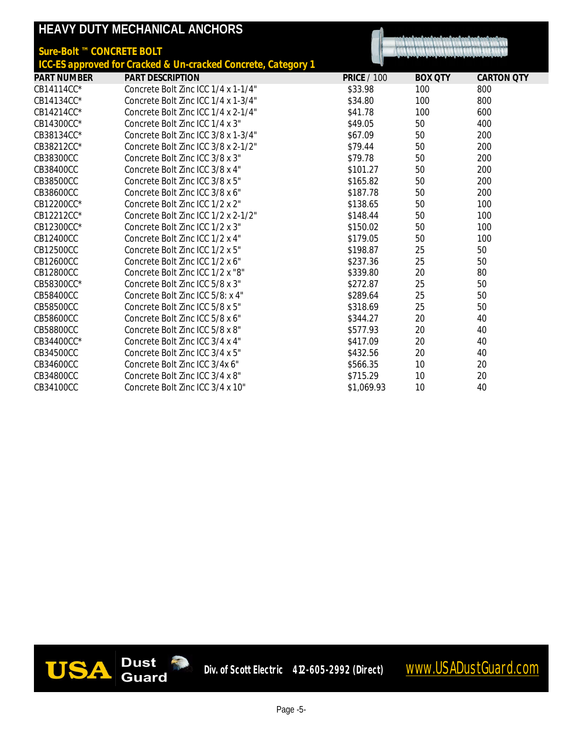|                           | HEAVY DUTY MECHANICAL ANCHORS                                 |                    |                |                   |
|---------------------------|---------------------------------------------------------------|--------------------|----------------|-------------------|
| Sure-Bolt ™ CONCRETE BOLT |                                                               |                    |                |                   |
|                           | ICC-ES approved for Cracked & Un-cracked Concrete, Category 1 |                    |                |                   |
| <b>PART NUMBER</b>        | <b>PART DESCRIPTION</b>                                       | <b>PRICE / 100</b> | <b>BOX QTY</b> | <b>CARTON QTY</b> |
| CB14114CC*                | Concrete Bolt Zinc ICC 1/4 x 1-1/4"                           | \$33.98            | 100            | 800               |
| CB14134CC*                | Concrete Bolt Zinc ICC 1/4 x 1-3/4"                           | \$34.80            | 100            | 800               |
| CB14214CC*                | Concrete Bolt Zinc ICC 1/4 x 2-1/4"                           | \$41.78            | 100            | 600               |
| CB14300CC*                | Concrete Bolt Zinc ICC 1/4 x 3"                               | \$49.05            | 50             | 400               |
| CB38134CC*                | Concrete Bolt Zinc ICC 3/8 x 1-3/4"                           | \$67.09            | 50             | 200               |
| CB38212CC*                | Concrete Bolt Zinc ICC 3/8 x 2-1/2"                           | \$79.44            | 50             | 200               |
| CB38300CC                 | Concrete Bolt Zinc ICC 3/8 x 3"                               | \$79.78            | 50             | 200               |
| CB38400CC                 | Concrete Bolt Zinc ICC 3/8 x 4"                               | \$101.27           | 50             | 200               |
| CB38500CC                 | Concrete Bolt Zinc ICC 3/8 x 5"                               | \$165.82           | 50             | 200               |
| CB38600CC                 | Concrete Bolt Zinc ICC 3/8 x 6"                               | \$187.78           | 50             | 200               |
| CB12200CC*                | Concrete Bolt Zinc ICC 1/2 x 2"                               | \$138.65           | 50             | 100               |
| CB12212CC*                | Concrete Bolt Zinc ICC 1/2 x 2-1/2"                           | \$148.44           | 50             | 100               |
| CB12300CC*                | Concrete Bolt Zinc ICC 1/2 x 3"                               | \$150.02           | 50             | 100               |
| CB12400CC                 | Concrete Bolt Zinc ICC 1/2 x 4"                               | \$179.05           | 50             | 100               |
| CB12500CC                 | Concrete Bolt Zinc ICC 1/2 x 5"                               | \$198.87           | 25             | 50                |
| CB12600CC                 | Concrete Bolt Zinc ICC 1/2 x 6"                               | \$237.36           | 25             | 50                |
| CB12800CC                 | Concrete Bolt Zinc ICC 1/2 x "8"                              | \$339.80           | 20             | 80                |
| CB58300CC*                | Concrete Bolt Zinc ICC 5/8 x 3"                               | \$272.87           | 25             | 50                |
| CB58400CC                 | Concrete Bolt Zinc ICC 5/8: x 4"                              | \$289.64           | 25             | 50                |
| CB58500CC                 | Concrete Bolt Zinc ICC 5/8 x 5"                               | \$318.69           | 25             | 50                |
| CB58600CC                 | Concrete Bolt Zinc ICC 5/8 x 6"                               | \$344.27           | 20             | 40                |
| CB58800CC                 | Concrete Bolt Zinc ICC 5/8 x 8"                               | \$577.93           | 20             | 40                |
| CB34400CC*                | Concrete Bolt Zinc ICC 3/4 x 4"                               | \$417.09           | 20             | 40                |
| CB34500CC                 | Concrete Bolt Zinc ICC 3/4 x 5"                               | \$432.56           | 20             | 40                |
| CB34600CC                 | Concrete Bolt Zinc ICC 3/4x 6"                                | \$566.35           | 10             | 20                |
| CB34800CC                 | Concrete Bolt Zinc ICC 3/4 x 8"                               | \$715.29           | 10             | 20                |
| CB34100CC                 | Concrete Bolt Zinc ICC 3/4 x 10"                              | \$1,069.93         | 10             | 40                |

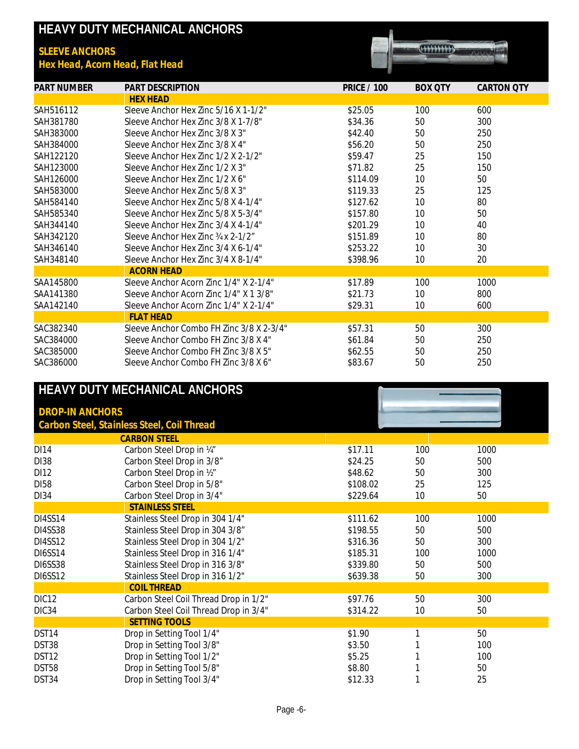|                       | HEAVY DUTY MECHANICAL ANCHORS            |                    |                |                   |
|-----------------------|------------------------------------------|--------------------|----------------|-------------------|
| <b>SLEEVE ANCHORS</b> |                                          |                    |                |                   |
|                       | Hex Head, Acorn Head, Flat Head          |                    |                |                   |
|                       |                                          |                    |                |                   |
| <b>PART NUMBER</b>    | <b>PART DESCRIPTION</b>                  | <b>PRICE / 100</b> | <b>BOX OTY</b> | <b>CARTON QTY</b> |
|                       | <b>HEX HEAD</b>                          |                    |                |                   |
| SAH516112             | Sleeve Anchor Hex Zinc 5/16 X 1-1/2"     | \$25.05            | 100            | 600               |
| SAH381780             | Sleeve Anchor Hex Zinc 3/8 X 1-7/8"      | \$34.36            | 50             | 300               |
| SAH383000             | Sleeve Anchor Hex 7inc 3/8 X 3"          | \$42.40            | 50             | 250               |
| SAH384000             | Sleeve Anchor Hex Zinc 3/8 X 4"          | \$56.20            | 50             | 250               |
| SAH122120             | Sleeve Anchor Hex Zinc 1/2 X 2-1/2"      | \$59.47            | 25             | 150               |
| SAH123000             | Sleeve Anchor Hex Zinc 1/2 X 3"          | \$71.82            | 25             | 150               |
| SAH126000             | Sleeve Anchor Hex 7inc 1/2 X 6"          | \$114.09           | 10             | 50                |
| SAH583000             | Sleeve Anchor Hex Zinc 5/8 X 3"          | \$119.33           | 25             | 125               |
| SAH584140             | Sleeve Anchor Hex Zinc 5/8 X 4-1/4"      | \$127.62           | 10             | 80                |
| SAH585340             | Sleeve Anchor Hex Zinc 5/8 X 5-3/4"      | \$157.80           | 10             | 50                |
| SAH344140             | Sleeve Anchor Hex Zinc 3/4 X 4-1/4"      | \$201.29           | 10             | 40                |
| SAH342120             | Sleeve Anchor Hex Zinc 34 x 2-1/2"       | \$151.89           | 10             | 80                |
| SAH346140             | Sleeve Anchor Hex Zinc 3/4 X 6-1/4"      | \$253.22           | 10             | 30                |
| SAH348140             | Sleeve Anchor Hex Zinc 3/4 X 8-1/4"      | \$398.96           | 10             | 20                |
|                       | <b>ACORN HEAD</b>                        |                    |                |                   |
| SAA145800             | Sleeve Anchor Acorn 7inc 1/4" X 2-1/4"   | \$17.89            | 100            | 1000              |
| SAA141380             | Sleeve Anchor Acorn Zinc 1/4" X 1 3/8"   | \$21.73            | 10             | 800               |
| SAA142140             | Sleeve Anchor Acorn Zinc 1/4" X 2-1/4"   | \$29.31            | 10             | 600               |
|                       | <b>FLAT HEAD</b>                         |                    |                |                   |
| SAC382340             | Sleeve Anchor Combo FH Zinc 3/8 X 2-3/4" | \$57.31            | 50             | 300               |
| SAC384000             | Sleeve Anchor Combo FH Zinc 3/8 X 4"     | \$61.84            | 50             | 250               |
| SAC385000             | Sleeve Anchor Combo FH Zinc 3/8 X 5"     | \$62.55            | 50             | 250               |
| SAC386000             | Sleeve Anchor Combo FH Zinc 3/8 X 6"     | \$83.67            | 50             | 250               |

| HEAVY DUTY MECHANICAL ANCHORS |                                            |          |     |      |
|-------------------------------|--------------------------------------------|----------|-----|------|
| <b>DROP-IN ANCHORS</b>        |                                            |          |     |      |
|                               | Carbon Steel, Stainless Steel, Coil Thread |          |     |      |
|                               | <b>CARBON STEEL</b>                        |          |     |      |
| <b>DI14</b>                   | Carbon Steel Drop in 14"                   | \$17.11  | 100 | 1000 |
| <b>DI38</b>                   | Carbon Steel Drop in 3/8"                  | \$24.25  | 50  | 500  |
| DI12                          | Carbon Steel Drop in 1/2"                  | \$48.62  | 50  | 300  |
| DI58                          | Carbon Steel Drop in 5/8"                  | \$108.02 | 25  | 125  |
| <b>DI34</b>                   | Carbon Steel Drop in 3/4"                  | \$229.64 | 10  | 50   |
|                               | <b>STAINLESS STEEL</b>                     |          |     |      |
| DI4SS14                       | Stainless Steel Drop in 304 1/4"           | \$111.62 | 100 | 1000 |
| DI4SS38                       | Stainless Steel Drop in 304 3/8"           | \$198.55 | 50  | 500  |
| DI4SS12                       | Stainless Steel Drop in 304 1/2"           | \$316.36 | 50  | 300  |
| <b>DI6SS14</b>                | Stainless Steel Drop in 316 1/4"           | \$185.31 | 100 | 1000 |
| DI6SS38                       | Stainless Steel Drop in 316 3/8"           | \$339.80 | 50  | 500  |
| <b>DI6SS12</b>                | Stainless Steel Drop in 316 1/2"           | \$639.38 | 50  | 300  |
|                               | <b>COIL THREAD</b>                         |          |     |      |
| DIC <sub>12</sub>             | Carbon Steel Coil Thread Drop in 1/2"      | \$97.76  | 50  | 300  |
| DIC34                         | Carbon Steel Coil Thread Drop in 3/4"      | \$314.22 | 10  | 50   |
|                               | <b>SETTING TOOLS</b>                       |          |     |      |
| DST14                         | Drop in Setting Tool 1/4"                  | \$1.90   |     | 50   |
| DST38                         | Drop in Setting Tool 3/8"                  | \$3.50   |     | 100  |
| DST <sub>12</sub>             | Drop in Setting Tool 1/2"                  | \$5.25   |     | 100  |
| DST58                         | Drop in Setting Tool 5/8"                  | \$8.80   |     | 50   |
| DST34                         | Drop in Setting Tool 3/4"                  | \$12.33  |     | 25   |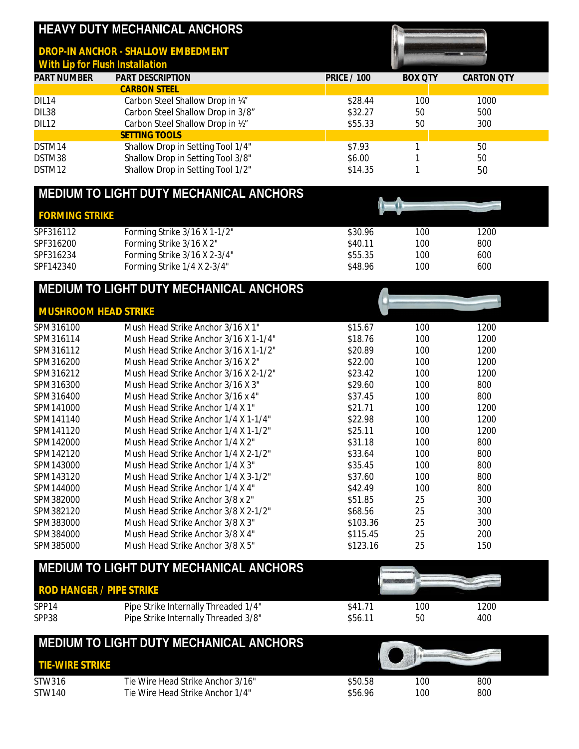|                                 | HEAVY DUTY MECHANICAL ANCHORS                                            |                    |                |                   |
|---------------------------------|--------------------------------------------------------------------------|--------------------|----------------|-------------------|
| With Lip for Flush Installation | DROP-IN ANCHOR - SHALLOW EMBEDMENT                                       |                    |                |                   |
| <b>PART NUMBER</b>              | PART DESCRIPTION                                                         | <b>PRICE / 100</b> | <b>BOX QTY</b> | <b>CARTON QTY</b> |
| DIL14                           | <b>CARBON STEEL</b><br>Carbon Steel Shallow Drop in 14"                  | \$28.44            | 100            | 1000              |
| DIL38                           | Carbon Steel Shallow Drop in 3/8"                                        | \$32.27            | 50             | 500               |
| DIL12                           | Carbon Steel Shallow Drop in 1/2"                                        | \$55.33            | 50             | 300               |
|                                 | <b>SETTING TOOLS</b>                                                     |                    |                |                   |
| DSTM14                          | Shallow Drop in Setting Tool 1/4"                                        | \$7.93             | 1              | 50                |
| DSTM38                          | Shallow Drop in Setting Tool 3/8"                                        | \$6.00             | 1              | 50                |
| DSTM12                          | Shallow Drop in Setting Tool 1/2"                                        | \$14.35            | 1              | 50                |
|                                 | MEDIUM TO LIGHT DUTY MECHANICAL ANCHORS                                  |                    |                |                   |
| <b>FORMING STRIKE</b>           |                                                                          |                    |                |                   |
| SPF316112                       | Forming Strike 3/16 X 1-1/2"                                             | \$30.96            | 100            | 1200              |
| SPF316200                       | Forming Strike 3/16 X 2"                                                 | \$40.11            | 100            | 800               |
| SPF316234                       | Forming Strike 3/16 X 2-3/4"                                             | \$55.35            | 100            | 600               |
| SPF142340                       | Forming Strike 1/4 X 2-3/4"                                              | \$48.96            | 100            | 600               |
|                                 | MEDIUM TO LIGHT DUTY MECHANICAL ANCHORS                                  |                    |                |                   |
| <b>MUSHROOM HEAD STRIKE</b>     |                                                                          |                    |                |                   |
| SPM316100                       | Mush Head Strike Anchor 3/16 X 1"                                        | \$15.67            | 100            | 1200              |
| SPM316114                       | Mush Head Strike Anchor 3/16 X 1-1/4"                                    | \$18.76            | 100            | 1200              |
| SPM316112                       | Mush Head Strike Anchor 3/16 X 1-1/2"                                    | \$20.89            | 100            | 1200              |
| SPM316200                       | Mush Head Strike Anchor 3/16 X 2"                                        | \$22.00            | 100            | 1200              |
| SPM316212                       | Mush Head Strike Anchor 3/16 X 2-1/2"                                    | \$23.42            | 100            | 1200              |
| SPM316300                       | Mush Head Strike Anchor 3/16 X 3"                                        | \$29.60            | 100            | 800               |
| SPM316400                       | Mush Head Strike Anchor 3/16 x 4"                                        | \$37.45            | 100            | 800               |
| SPM141000                       | Mush Head Strike Anchor 1/4 X 1"                                         | \$21.71            | 100            | 1200              |
| SPM141140                       | Mush Head Strike Anchor 1/4 X 1-1/4"                                     | \$22.98            | 100            | 1200              |
| SPM141120                       | Mush Head Strike Anchor 1/4 X 1-1/2"<br>Mush Head Strike Anchor 1/4 X 2" | \$25.11            | 100            | 1200<br>800       |
| SPM142000<br>SPM142120          | Mush Head Strike Anchor 1/4 X 2-1/2"                                     | \$31.18<br>\$33.64 | 100<br>100     | 800               |
| SPM143000                       | Mush Head Strike Anchor 1/4 X 3"                                         | \$35.45            | 100            | 800               |
| SPM143120                       | Mush Head Strike Anchor 1/4 X 3-1/2"                                     | \$37.60            | 100            | 800               |
| SPM144000                       | Mush Head Strike Anchor 1/4 X 4"                                         | \$42.49            | 100            | 800               |
| SPM382000                       | Mush Head Strike Anchor 3/8 x 2"                                         | \$51.85            | 25             | 300               |
| SPM382120                       | Mush Head Strike Anchor 3/8 X 2-1/2"                                     | \$68.56            | 25             | 300               |
| SPM383000                       | Mush Head Strike Anchor 3/8 X 3"                                         | \$103.36           | 25             | 300               |
| SPM384000                       | Mush Head Strike Anchor 3/8 X 4"                                         | \$115.45           | 25             | 200               |
| SPM385000                       | Mush Head Strike Anchor 3/8 X 5"                                         | \$123.16           | 25             | 150               |
|                                 | MEDIUM TO LIGHT DUTY MECHANICAL ANCHORS                                  |                    |                |                   |
| <b>ROD HANGER / PIPE STRIKE</b> |                                                                          |                    |                |                   |
| SPP14                           | Pipe Strike Internally Threaded 1/4"                                     | \$41.71            | 100            | 1200              |
| SPP38                           | Pipe Strike Internally Threaded 3/8"                                     | \$56.11            | 50             | 400               |
|                                 | MEDIUM TO LIGHT DUTY MECHANICAL ANCHORS                                  |                    |                |                   |
| <b>TIE-WIRE STRIKE</b>          |                                                                          |                    |                |                   |
| STW316<br>STW140                | Tie Wire Head Strike Anchor 3/16"<br>Tie Wire Head Strike Anchor 1/4"    | \$50.58<br>\$56.96 | 100<br>100     | 800<br>800        |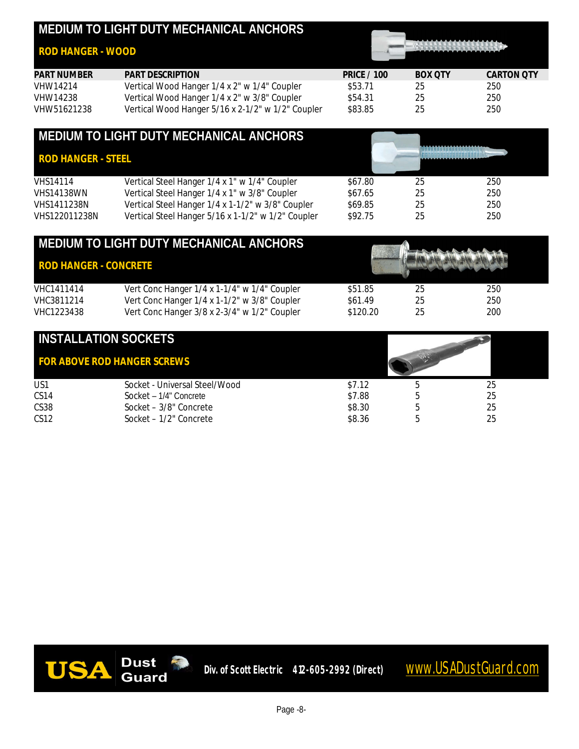## **MEDIUM TO LIGHT DUTY MECHANICAL ANCHORS**

### *ROD HANGER - WOOD*



| PART NUMBER | PART DESCRIPTION                                  | <b>PRICE / 100</b> | BOX OTY | CARTON OTY |
|-------------|---------------------------------------------------|--------------------|---------|------------|
| VHW14214    | Vertical Wood Hanger 1/4 x 2" w 1/4" Coupler      | \$53.71            | 25      | 250        |
| VHW14238    | Vertical Wood Hanger 1/4 x 2" w 3/8" Coupler      | \$54.31            | 25      | 250        |
| VHW51621238 | Vertical Wood Hanger 5/16 x 2-1/2" w 1/2" Coupler | \$83.85            | 25      | 250        |

|                           | MEDIUM TO LIGHT DUTY MECHANICAL ANCHORS            |         |    |     |
|---------------------------|----------------------------------------------------|---------|----|-----|
| <b>ROD HANGER - STEEL</b> |                                                    |         |    |     |
| <b>VHS14114</b>           | Vertical Steel Hanger 1/4 x 1" w 1/4" Coupler      | \$67.80 | 25 | 250 |
| <b>VHS14138WN</b>         | Vertical Steel Hanger 1/4 x 1" w 3/8" Coupler      | \$67.65 | 25 | 250 |
| VHS1411238N               | Vertical Steel Hanger 1/4 x 1-1/2" w 3/8" Coupler  | \$69.85 | 25 | 250 |
| VHS122011238N             | Vertical Steel Hanger 5/16 x 1-1/2" w 1/2" Coupler | \$92.75 | 25 | 250 |

|                              | MEDIUM TO LIGHT DUTY MECHANICAL ANCHORS      |          |    |     |
|------------------------------|----------------------------------------------|----------|----|-----|
| <b>ROD HANGER - CONCRETE</b> |                                              |          |    |     |
| VHC1411414                   | Vert Conc Hanger 1/4 x 1-1/4" w 1/4" Coupler | \$51.85  | 25 | 250 |
| VHC3811214                   | Vert Conc Hanger 1/4 x 1-1/2" w 3/8" Coupler | \$61.49  | 25 | 250 |
| VHC1223438                   | Vert Conc Hanger 3/8 x 2-3/4" w 1/2" Coupler | \$120.20 | 25 | 200 |

| <b>INSTALLATION SOCKETS</b> |                                    |        |  |    |
|-----------------------------|------------------------------------|--------|--|----|
|                             | <b>FOR ABOVE ROD HANGER SCREWS</b> |        |  |    |
| US1                         | Socket - Universal Steel/Wood      | \$7.12 |  | 25 |
| CS <sub>14</sub>            | Socket - 1/4" Concrete             | \$7.88 |  | 25 |
| CS <sub>38</sub>            | Socket - 3/8" Concrete             | \$8.30 |  | 25 |
| CS12                        | Socket - 1/2" Concrete             | \$8.36 |  | 25 |

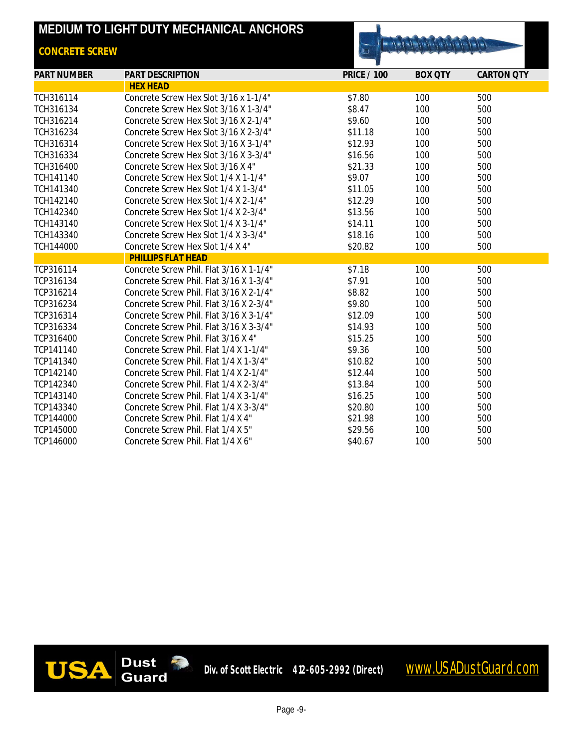## **MEDIUM TO LIGHT DUTY MECHANICAL ANCHORS**

## *CONCRETE SCREW*



| <b>PART NUMBER</b>        | <b>PART DESCRIPTION</b>                 | <b>PRICE / 100</b> | <b>BOX QTY</b> | <b>CARTON QTY</b> |
|---------------------------|-----------------------------------------|--------------------|----------------|-------------------|
|                           | <b>HEX HEAD</b>                         |                    |                |                   |
| TCH316114                 | Concrete Screw Hex Slot 3/16 x 1-1/4"   | \$7.80             | 100            | 500               |
| TCH316134                 | Concrete Screw Hex Slot 3/16 X 1-3/4"   | \$8.47             | 100            | 500               |
| TCH316214                 | Concrete Screw Hex Slot 3/16 X 2-1/4"   | \$9.60             | 100            | 500               |
| TCH316234                 | Concrete Screw Hex Slot 3/16 X 2-3/4"   | \$11.18            | 100            | 500               |
| TCH316314                 | Concrete Screw Hex Slot 3/16 X 3-1/4"   | \$12.93            | 100            | 500               |
| TCH316334                 | Concrete Screw Hex Slot 3/16 X 3-3/4"   | \$16.56            | 100            | 500               |
| TCH316400                 | Concrete Screw Hex Slot 3/16 X 4"       | \$21.33            | 100            | 500               |
| TCH141140                 | Concrete Screw Hex Slot 1/4 X 1-1/4"    | \$9.07             | 100            | 500               |
| TCH141340                 | Concrete Screw Hex Slot 1/4 X 1-3/4"    | \$11.05            | 100            | 500               |
| TCH142140                 | Concrete Screw Hex Slot 1/4 X 2-1/4"    | \$12.29            | 100            | 500               |
| TCH142340                 | Concrete Screw Hex Slot 1/4 X 2-3/4"    | \$13.56            | 100            | 500               |
| TCH143140                 | Concrete Screw Hex Slot 1/4 X 3-1/4"    | \$14.11            | 100            | 500               |
| TCH143340                 | Concrete Screw Hex Slot 1/4 X 3-3/4"    | \$18.16            | 100            | 500               |
| TCH144000                 | Concrete Screw Hex Slot 1/4 X 4"        | \$20.82            | 100            | 500               |
| <b>PHILLIPS FLAT HEAD</b> |                                         |                    |                |                   |
| TCP316114                 | Concrete Screw Phil. Flat 3/16 X 1-1/4" | \$7.18             | 100            | 500               |
| TCP316134                 | Concrete Screw Phil. Flat 3/16 X 1-3/4" | \$7.91             | 100            | 500               |
| TCP316214                 | Concrete Screw Phil. Flat 3/16 X 2-1/4" | \$8.82             | 100            | 500               |
| TCP316234                 | Concrete Screw Phil. Flat 3/16 X 2-3/4" | \$9.80             | 100            | 500               |
| TCP316314                 | Concrete Screw Phil. Flat 3/16 X 3-1/4" | \$12.09            | 100            | 500               |
| TCP316334                 | Concrete Screw Phil. Flat 3/16 X 3-3/4" | \$14.93            | 100            | 500               |
| TCP316400                 | Concrete Screw Phil. Flat 3/16 X 4"     | \$15.25            | 100            | 500               |
| TCP141140                 | Concrete Screw Phil. Flat 1/4 X 1-1/4"  | \$9.36             | 100            | 500               |
| TCP141340                 | Concrete Screw Phil. Flat 1/4 X 1-3/4"  | \$10.82            | 100            | 500               |
| TCP142140                 | Concrete Screw Phil. Flat 1/4 X 2-1/4"  | \$12.44            | 100            | 500               |
| TCP142340                 | Concrete Screw Phil. Flat 1/4 X 2-3/4"  | \$13.84            | 100            | 500               |
| TCP143140                 | Concrete Screw Phil. Flat 1/4 X 3-1/4"  | \$16.25            | 100            | 500               |
| TCP143340                 | Concrete Screw Phil. Flat 1/4 X 3-3/4"  | \$20.80            | 100            | 500               |
| TCP144000                 | Concrete Screw Phil. Flat 1/4 X 4"      | \$21.98            | 100            | 500               |
| TCP145000                 | Concrete Screw Phil. Flat 1/4 X 5"      | \$29.56            | 100            | 500               |
| TCP146000                 | Concrete Screw Phil. Flat 1/4 X 6"      | \$40.67            | 100            | 500               |